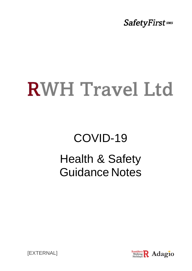**SafetyFirst** sms

# **RWH Travel Ltd**

## COVID-19 Health & Safety Guidance Notes



[EXTERNAL]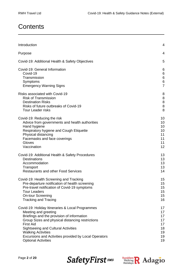### **Contents**

| Introduction                                          | 4              |
|-------------------------------------------------------|----------------|
| Purpose                                               | 4              |
| Covid-19: Additional Health & Safety Objectives       | 5              |
| Covid-19: General Information                         | 6              |
| Covid-19                                              | 6              |
| Transmission                                          | $\,6$          |
| Symptoms                                              | $\,6$          |
| <b>Emergency Warning Signs</b>                        | $\overline{7}$ |
| Risks associated with Covid-19                        | 8              |
| <b>Risk of Transmission</b>                           | 8              |
| <b>Destination Risks</b>                              | 8              |
| Risks of future outbreaks of Covid-19                 | 8              |
| <b>Tour Leader risks</b>                              | 8              |
| Covid-19: Reducing the risk                           | 10             |
| Advice from governments and health authorities        | 10             |
| Hand hygiene                                          | 10             |
| Respiratory hygiene and Cough Etiquette               | 10             |
| Physical distancing                                   | 11             |
| Facemasks and face coverings                          | 11             |
| Gloves                                                | 11             |
| Vaccination                                           | 12             |
| Covid-19: Additional Health & Safety Procedures       | 13             |
| <b>Destinations</b>                                   | 13             |
| Accommodation                                         | 13             |
| Transport                                             | 13             |
| <b>Restaurants and other Food Services</b>            | 14             |
| Covid-19: Health Screening and Tracking               | 15             |
| Pre-departure notification of health screening        | 15             |
| Pre-travel notification of Covid-19 symptoms          | 15             |
| <b>Tour Leaders</b>                                   | 15             |
| <b>On-tour Screening</b>                              | 15             |
| <b>Tracking and Tracing</b>                           | 16             |
| Covid-19: Holiday Itineraries & Local Programmes      | 17             |
| Meeting and greeting                                  | 17             |
| Briefings and the provision of information            | 17             |
| Group Sizes and physical distancing restrictions      | 17             |
| <b>First Aid</b>                                      | 17             |
| <b>Sightseeing and Cultural Activities</b>            | 18             |
| <b>Walking Activities</b>                             | 19             |
| Excursions and Activities provided by Local Operators | 19             |
| <b>Optional Activities</b>                            | 19             |

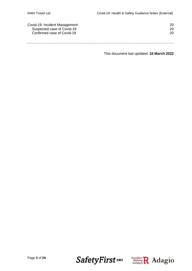| Covid-19: Incident Management | 20 |
|-------------------------------|----|
| Suspected case of Covid-19    | 20 |
| Confirmed case of Covid-19    | 20 |
|                               |    |
|                               |    |

This document last updated: **16 March 2022**

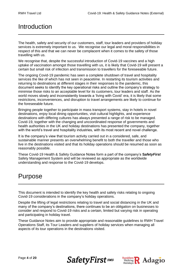### Introduction

The health, safety and security of our customers, staff, tour leaders and providers of holiday services is extremely important to us. We recognise our legal and moral responsibilities in respect of this and that we can never be complacent when it comes to the safety of those travelling with us.

We recognise that, despite the successful introduction of Covid-19 vaccines and a high uptake of vaccination amongst those travelling with us, it is likely that Covid-19 will present a certain but small risk of infection and transmission to travellers for the foreseeable future.

The ongoing Covid-19 pandemic has seen a complete shutdown of travel and hospitality services the like of which has not seen in peacetime. In restarting its tourism activities and returning to destinations at different stages in their responses to the pandemic, this document seeks to identify the key operational risks and outline the company's strategy to minimise those risks to an acceptable level for its customers, tour leaders and staff. As the world moves slowly and inconsistently towards a 'living with Covid' era, it is likely that some restrictions, inconveniences, and disruption to travel arrangements are likely to continue for the foreseeable future.

Bringing people together to participate in mass transport systems, stay in hotels in novel destinations, enjoy local dining opportunities, visit cultural highlights, and experience destinations with differing cultures has always presented a range of risk to be managed. Covid-19, together with the changing and uncoordinated response of governments and health authorities in the UK and holiday destinations has presented the company, together with the world's travel and hospitality industries, with its most recent and novel challenge.

It is the company's view that tourism activity carried out in a considered, safe, and sustainable manner presents an overwhelming benefit to both the traveller and those who live in the destinations visited and that its holiday operations should be resumed as soon as reasonably possible.

These Covid-19 Health & Safety Guidance Notes form a part of the company's **S***afetyFirst* Safety Management System and will be reviewed as appropriate as the worldwide understanding and response to the Covid-19 develops.

### Purpose

This document is intended to identify the key health and safety risks relating to ongoing Covid-19 considerations in the company's holiday operations.

Despite the lifting of legal restrictions relating to travel and social distancing in the UK and many of the company's destinations, there continues to be an obligation on businesses to consider and respond to Covid-19 risks and a certain, limited but varying risk in operating and participating in holiday travel.

These Guidance Notes aim to provide appropriate and reasonable guidelines to RWH Travel Operations Staff, its Tour Leaders and suppliers of holiday services when managing all aspects of its tour operations in the destinations visited.



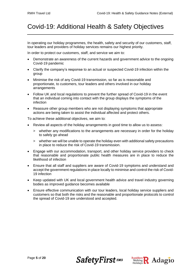### Covid-19: Additional Health & Safety Objectives

In operating our holiday programmes, the health, safety and security of our customers, staff, tour leaders and providers of holiday services remains our highest priority.

In order to protect our customers, staff, and service we aim to:

- Demonstrate an awareness of the current hazards and government advice to the ongoing Covid-19 pandemic
- Clarify the company's response to an actual or suspected Covid-19 infection within the group
- Minimise the risk of any Covid-19 transmission, so far as is reasonable and proportionate, to customers, tour leaders and others involved in our holiday arrangements
- Follow UK and local regulations to prevent the further spread of Covid-19 in the event that an individual coming into contact with the group displays the symptoms of the infection
- Reassure other group members who are not displaying symptoms that appropriate actions are being taken to assist the individual affected and protect others.

To achieve these additional objectives, we aim to:

- Review all aspects of the holiday arrangements in good time to allow us to assess:
	- > whether any modifications to the arrangements are necessary in order for the holiday to safely go ahead
	- > whether we will be unable to operate the holiday even with additional safety precautions in place to reduce the risk of Covid-19 transmission.
- Engage with our accommodation, transport, and other holiday service providers to check that reasonable and proportionate public health measures are in place to reduce the likelihood of infection
- Ensure that all staff and suppliers are aware of Covid-19 symptoms and understand and accept the government regulations in place locally to minimise and control the risk of Covid-19 infection
- Keep updated with UK and local government health advice and travel industry governing bodies as improved guidance becomes available
- Ensure effective communication with our tour leaders, local holiday service suppliers and customers so that both the risks and the reasonable and proportionate protocols to control the spread of Covid-19 are understood and accepted.

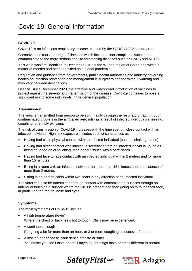### Covid-19: General Information

### **COVID-19**

Covid-19 is an infectious respiratory disease, caused by the SARS-CoV-2 coronavirus.

Coronaviruses cause a range of illnesses which include minor complaints such as the common cold to the more serious and life-threatening diseases such as SARS and MERS.

This virus was first identified in December 2019 in the Wuhan region of China and within a matter of months had been identified as a global pandemic.

Regulation and guidance from governments, public health authorities and industry governing bodies on infection prevention and management is subject to change without warning and may vary between destinations.

Despite, since December 2020, the effective and widespread introduction of vaccines to protect against the severity and transmission of the disease, Covid-19 continues to pose a significant risk to some individuals in the general population.

### **Transmission**

The virus is transmitted from person to person, mainly through the respiratory tract, through contaminated droplets in the air (called aerosols) as a result of infected individuals sneezing, coughing, or simply exhaling.

The risk of transmission of Covid-19 increases with the time spent in close contact with an infected individual. High risk exposure includes such circumstances as:

- Having had close physical contact with an infected individual (such as shaking hands)
- Having had direct contact with infectious secretions from an infected individual (such as being coughed on or touching used paper tissues with a bare hand)
- Having had face to face contact with an infected individual within 2 metres and for more than 15 minutes
- Being in a room with an infected individual for more than 15 minutes and at a distance of more than 2 metres
- Sitting in an aircraft cabin within two seats in any direction of an infected individual.

The virus can also be transmitted through contact with contaminated surfaces through an individual touching a surface where the virus is present and then going on to touch their face, in particular, the mouth, nose and eyes.

### **Symptoms**

The main symptoms of Covid-19 include:

- A high temperature (fever) Where the chest or back feels hot to touch. Chills may be experienced.
- A continuous cough Coughing a lot for more than an hour, or 3 or more coughing episodes in 24 hours
- A loss of, or change to, your sense of taste or smell You notice you can't taste or smell anything, or things taste or smell different to normal.



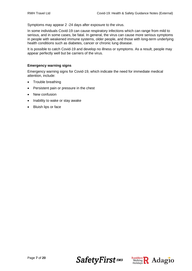Symptoms may appear 2 -24 days after exposure to the virus.

In some individuals Covid-19 can cause respiratory infections which can range from mild to serious, and in some cases, be fatal. In general, the virus can cause more serious symptoms in people with weakened immune systems, older people, and those with long-term underlying health conditions such as diabetes, cancer or chronic lung disease.

It is possible to catch Covid-19 and develop no illness or symptoms. As a result, people may appear perfectly well but be carriers of the virus.

#### **Emergency warning signs**

Emergency warning signs for Covid-19, which indicate the need for immediate medical attention, include:

- Trouble breathing
- Persistent pain or pressure in the chest
- New confusion
- Inability to wake or stay awake
- Bluish lips or face



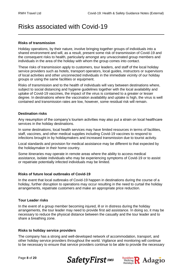### Risks associated with Covid-19

### **Risks of transmission**

Holiday operations, by their nature, involve bringing together groups of individuals into a shared environment and will, as a result, present some risk of transmission of Covid-19 and the consequent risks to health, particularly amongst any unvaccinated group members and individuals in the area of the holiday with whom the group comes into contact.

These risks of transmission apply to customers, tour leaders, and staff of the local holiday service providers such as hotels, transport operators, local guides, instructors or supervisors of local activities and other unconnected individuals in the immediate vicinity of our holiday groups or using the same facilities or equipment.

Risks of transmission and to the health of individuals will vary between destinations where, subject to social distancing and hygiene guidelines together with the local availability and uptake of Covid-19 vaccines, the impact of the virus is contained to a greater or lesser degree. In destinations where the vaccination availability and uptake is high, the virus is well contained and transmission rates are low, however, some residual risk will remain.

### **Destination risks**

Any resumption of the company's tourism activities may also put a strain on local healthcare services in the holiday destinations.

In some destinations, local health services may have limited resources in terms of facilities, staff, vaccines, and other medical supplies including Covid-19 vaccines to respond to infections brought in by holidaymakers and increased transmission due to tourist activity.

Local standards and provision for medical assistance may be different to that expected by the holidaymaker in their home country.

Some itineraries may operate in remote areas where the ability to access medical assistance, isolate individuals who may be experiencing symptoms of Covid-19 or to assist or repatriate potentially infected individuals may be limited.

### **Risks of future local outbreaks of Covid-19**

In the event that local outbreaks of Covid-19 happen in destinations during the course of a holiday, further disruption to operations may occur resulting in the need to curtail the holiday arrangements, repatriate customers and make an appropriate price reduction.

### **Tour Leader risks**

In the event of a group member becoming injured, ill or in distress during the holiday arrangements, the tour leader may need to provide first aid assistance. In doing so, it may be necessary to reduce the physical distance between the casualty and the tour leader and to share a breathing zone.

### **Risks to holiday service providers**

The company has a strong and well-developed network of accommodation, transport, and other holiday service providers throughout the world. Vigilance and monitoring will continue to be necessary to ensure that service providers continue to be able to provide the necessary



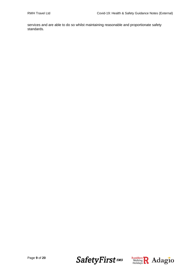services and are able to do so whilst maintaining reasonable and proportionate safety standards.



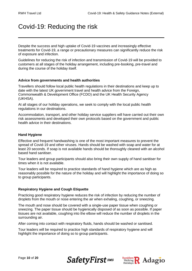### Covid-19: Reducing the risk

Despite the success and high uptake of Covid-19 vaccines and increasingly effective treatments for Covid-19, a range or precautionary measures can significantly reduce the risk of exposure and infection.

Guidelines for reducing the risk of infection and transmission of Covid-19 will be provided to customers at all stages of the holiday arrangement, including pre-booking, pre-travel and during the course of the holiday itself.

### **Advice from governments and health authorities**

Travellers should follow local public health regulations in their destinations and keep up to date with the latest UK government travel and health advice from the Foreign, Commonwealth & Development Office (FCDO) and the UK Health Security Agency (UKHSA).

At all stages of our holiday operations, we seek to comply with the local public health regulations in our destinations.

Accommodation, transport, and other holiday service suppliers will have carried out their own risk assessments and developed their own protocols based on the government and public health advice in their destinations.

### **Hand Hygiene**

Effective and frequent handwashing is one of the most important measures to prevent the spread of Covid-19 and other viruses. Hands should be washed with soap and water for at least 20 seconds. If soap is not available hands should be thoroughly cleaned with an alcohol based hand sanitiser.

Tour leaders and group participants should also bring their own supply of hand sanitiser for times when it is not available.

Tour leaders will be required to practice standards of hand hygiene which are as high as reasonably possible for the nature of the holiday and will highlight the importance of doing so to group participants.

#### **Respiratory Hygiene and Cough Etiquette**

Practicing good respiratory hygiene reduces the risk of infection by reducing the number of droplets from the mouth or nose entering the air when exhaling, coughing, or sneezing.

The mouth and nose should be covered with a single-use paper tissue when coughing or sneezing. The paper tissue should be hygienically disposed of as soon as possible. If paper tissues are not available, coughing into the elbow will reduce the number of droplets in the surrounding air.

After coming into contact with respiratory fluids, hands should be washed or sanitised.

Tour leaders will be required to practice high standards of respiratory hygiene and will highlight the importance of doing so to group participants.





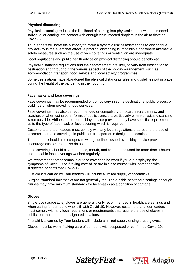### **Physical distancing**

Physical distancing reduces the likelihood of coming into physical contact with an infected individual or coming into contact with enough virus infected droplets in the air to develop Covid-19.

Tour leaders will have the authority to make a dynamic risk assessment as to discontinue any activity in the event that effective physical distancing is impossible and where alternative safety measures such as the use of face coverings or ventilation are inadequate.

Local regulations and public health advice on physical distancing should be followed.

Physical distancing regulations and their enforcement are likely to vary from destination to destination and throughout the various aspects of the holiday arrangement, such as accommodation, transport, food service and local activity programmes.

Some destinations have abandoned the physical distancing rules and guidelines put in place during the height of the pandemic in their country.

### **Facemasks and face coverings**

Face coverings may be recommended or compulsory in some destinations, public places, or buildings or when providing food services.

Face coverings may also be recommended or compulsory on board aircraft, trains, and coaches or when using other forms of public transport, particularly where physical distancing is not possible. Airlines and other holiday service providers may have specific requirements as to the type of face mask or face covering which is required.

Customers and tour leaders must comply with any local regulations that require the use of facemasks or face coverings in public, on transport or in designated locations.

Tour leaders should also co-operate with guidelines issued by holiday service providers and encourage customers to also do so.

Face coverings should cover the nose, mouth, and chin, not be used for more than 4 hours, and reusable face coverings washed regularly.

We recommend that facemasks or face coverings be worn if you are displaying the symptoms of Covid-19 or if taking care of, or are in close contact with, someone with suspected or confirmed Covid-19.

First aid kits carried by Tour leaders will include a limited supply of facemasks.

Surgical standard facemasks are not generally required outside healthcare settings although airlines may have minimum standards for facemasks as a condition of carriage.

### **Gloves**

Single-use (disposable) gloves are generally only recommended in healthcare settings and when caring for someone who is ill with Covid-19. However, customers and tour leaders must comply with any local regulations or requirements that require the use of gloves in public, on transport or in designated locations.

First aid kits carried by Tour leaders will include a limited supply of single-use gloves.

Gloves must be worn if taking care of someone with suspected or confirmed Covid-19.



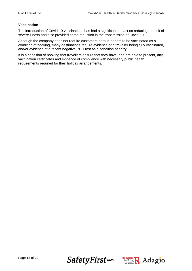### **Vaccination**

The introduction of Covid-19 vaccinations has had a significant impact on reducing the risk of severe illness and also provided some reduction in the transmission of Covid-19.

Although the company does not require customers or tour leaders to be vaccinated as a condition of booking, many destinations require evidence of a traveller being fully vaccinated, and/or evidence of a recent negative PCR test as a condition of entry.

It is a condition of booking that travellers ensure that they have, and are able to present, any vaccination certificates and evidence of compliance with necessary public health requirements required for their holiday arrangements.



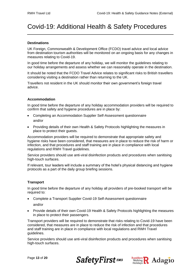### Covid-19: Additional Health & Safety Procedures

### **Destinations**

UK Foreign, Commonwealth & Development Office (FCDO) travel advice and local advice from destination tourism authorities will be monitored on an ongoing basis for any changes in measures relating to Covid-19.

In good time before the departure of any holiday, we will monitor the guidelines relating to our holiday arrangements and assess whether we can reasonably operate in the destination.

It should be noted that the FCDO Travel Advice relates to significant risks to British travellers considering visiting a destination rather than returning to the UK.

Travellers not resident in the UK should monitor their own government's foreign travel advice.

### **Accommodation**

In good time before the departure of any holiday accommodation providers will be required to confirm that safety and hygiene procedures are in place by:

- Completing an Accommodation Supplier Self-Assessment questionnaire and/or
- Providing details of their own Health & Safety Protocols highlighting the measures in place to protect their guests.

Accommodation providers will be required to demonstrate that appropriate safety and hygiene risks have been considered, that measures are in place to reduce the risk of harm or infection, and that procedures and staff training are in place in compliance with local regulations and RWH Travel guidelines.

Service providers should use anti-viral disinfection products and procedures when sanitising high-touch surfaces.

If relevant, tour leaders will include a summary of the hotel's physical distancing and hygiene protocols as a part of the daily group briefing sessions.

### **Transport**

In good time before the departure of any holiday all providers of pre-booked transport will be required to:

- Complete a Transport Supplier Covid-19 Self-Assessment questionnaire and/or
- Provide details of their own Covid-19 Health & Safety Protocols highlighting the measures in place to protect their passengers.

Transport providers will be required to demonstrate that risks relating to Covid-19 have been considered, that measures are in place to reduce the risk of infection and that procedures and staff training are in place in compliance with local regulations and RWH Travel guidelines.

Service providers should use anti-viral disinfection products and procedures when sanitising high-touch surfaces.



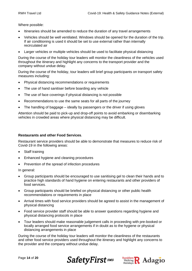Where possible:

- Itineraries should be amended to reduce the duration of any travel arrangements
- Vehicles should be well ventilated. Windows should be opened for the duration of the trip. If air conditioning is used it should be set to use external rather than internally recirculated air
- Larger vehicles or multiple vehicles should be used to facilitate physical distancing

During the course of the holiday tour leaders will monitor the cleanliness of the vehicles used throughout the itinerary and highlight any concerns to the transport provider and the company without undue delay.

During the course of the holiday, tour leaders will brief group participants on transport safety measures including:

- Physical distancing recommendations or requirements
- The use of hand sanitiser before boarding any vehicle
- The use of face coverings if physical distancing is not possible
- Recommendations to use the same seats for all parts of the journey
- The handling of baggage ideally by passengers or the driver if using gloves

Attention should be paid to pick-up and drop-off points to avoid embarking or disembarking vehicles in crowded areas where physical distancing may be difficult.

#### **Restaurants and other Food Services**.

Restaurant service providers should be able to demonstrate that measures to reduce risk of Covid-19 in the following areas:

- Staff training
- Enhanced hygiene and cleaning procedures
- Prevention of the spread of infection procedures

In general:

- Group participants should be encouraged to use sanitising gel to clean their hands and to practice high standards of hand hygiene on entering restaurants and other providers of food services.
- Group participants should be briefed on physical distancing or other public health recommendations or requirements in place
- Arrival times with food service providers should be agreed to assist in the management of physical distancing
- Food service provider staff should be able to answer questions regarding hygiene and physical distancing protocols in place
- Tour leaders should make reasonable judgement calls in proceeding with pre-booked or locally arranged food service arrangements if in doubt as to the hygiene or physical distancing arrangements in place

During the course of the holiday tour leaders will monitor the cleanliness of the restaurants and other food service providers used throughout the itinerary and highlight any concerns to the provider and the company without undue delay.



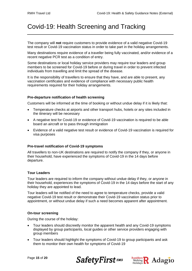### Covid-19: Health Screening and Tracking

The company will **not** require customers to provide evidence of a valid negative Covid-19 test result or Covid-19 vaccination status in order to take part in the holiday arrangements.

Many destinations require evidence of a traveller being fully vaccinated, and/or evidence of a recent negative PCR test as a condition of entry.

Some destinations or local holiday service providers may require tour leaders and group members to be screened for Covid-19 before or during travel in order to prevent infected individuals from travelling and limit the spread of the disease.

It is the responsibility of travellers to ensure that they have, and are able to present, any vaccination certificates and evidence of compliance with necessary public health requirements required for their holiday arrangements.

### **Pre-departure notification of health screening**

Customers will be informed at the time of booking or without undue delay if it is likely that:

- Temperature checks at airports and other transport hubs, hotels or any sites included in the itinerary will be necessary
- A negative test for Covid-19 or evidence of Covid-19 vaccination is required to be able board an aircraft or to pass through immigration
- Evidence of a valid negative test result or evidence of Covid-19 vaccination is required for visa purposes

### **Pre-travel notification of Covid-19 symptoms**

All travellers to non-UK destinations are required to notify the company if they, or anyone in their household, have experienced the symptoms of Covid-19 in the 14 days before departure.

### **Tour Leaders**

Tour leaders are required to inform the company without undue delay if they, or anyone in their household, experiences the symptoms of Covid-19 in the 14 days before the start of any holiday they are appointed to lead.

Tour leaders will be notified of the need to agree to temperature checks, provide a valid negative Covid-19 test result or demonstrate their Covid-19 vaccination status prior to appointment, or without undue delay if such a need becomes apparent after appointment.

### **On-tour screening**

During the course of the holiday:

- Tour leaders should discreetly monitor the apparent health and any Covid-19 symptoms displayed by group participants, local guides or other service providers engaging with group members
- Tour leaders should highlight the symptoms of Covid-19 to group participants and ask them to monitor their own health for symptoms of Covid-19



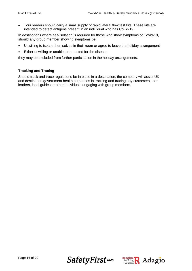• Tour leaders should carry a small supply of rapid lateral flow test kits. These kits are intended to detect antigens present in an individual who has Covid-19.

In destinations where self-isolation is required for those who show symptoms of Covid-19, should any group member showing symptoms be:

- Unwilling to isolate themselves in their room or agree to leave the holiday arrangement
- Either unwilling or unable to be tested for the disease

they may be excluded from further participation in the holiday arrangements.

### **Tracking and Tracing**

Should track and trace regulations be in place in a destination, the company will assist UK and destination government health authorities in tracking and tracing any customers, tour leaders, local guides or other individuals engaging with group members.



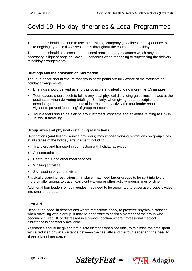### Covid-19: Holiday Itineraries & Local Programmes

Tour leaders should continue to use their training, company guidelines and experience to make ongoing dynamic risk assessments throughout the course of the holiday.

Tour leaders should also consider additional precautionary measures which may be necessary in light of ongoing Covid-19 concerns when managing or supervising the delivery of holiday arrangements.

### **Briefings and the provision of information**

The tour leader should ensure that group participants are fully aware of the forthcoming holiday arrangements.

- Briefings should be kept as short as possible and ideally to no more than 15 minutes
- Tour leaders should seek to follow any local physical distancing guidelines in place at the destination when delivering briefings. Similarly, when giving route descriptions or describing terrain or other points of interest on an activity the tour leader should be vigilant to prevent 'bunching' of group members
- Tour leaders should be alert to any customers' concerns and anxieties relating to Covid-19 whilst travelling.

### **Group sizes and physical distancing restrictions**

Destinations (and holiday service providers) may impose varying restrictions on group sizes at all stages of the holiday arrangement including:

- Transfers and transport in connection with holiday activities
- Accommodation
- Restaurants and other meal services
- Walking activities
- Sightseeing or cultural visits

Physical distancing restrictions, if in place, may need larger groups to be split into two or more smaller groups to travel, carry out walking or other activity programmes or dine.

Additional tour leaders or local guides may need to be appointed to supervise groups divided into smaller parties.

#### **First Aid**

Despite the need, in destinations where restrictions apply, to preserve physical distancing when travelling with a group, it may be necessary to assist a member of the group who becomes injured, ill, or distressed in a remote location where professional medical assistance is not readily available.

Assistance should be given from a safe distance when possible, to minimise the time spent with a reduced physical distance between the casualty and the tour leader and the need to share a breathing space.



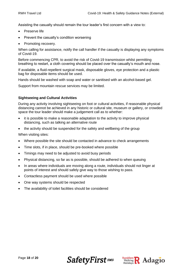Assisting the casualty should remain the tour leader's first concern with a view to:

- Preserve life
- Prevent the casualty's condition worsening
- Promoting recovery.

When calling for assistance, notify the call handler if the casualty is displaying any symptoms of Covid-19.

Before commencing CPR, to avoid the risk of Covid-19 transmission whilst permitting breathing to restart, a cloth covering should be placed over the casualty's mouth and nose.

If available, a fluid-repellent surgical mask, disposable gloves, eye protection and a plastic bag for disposable items should be used.

Hands should be washed with soap and water or sanitised with an alcohol-based gel.

Support from mountain rescue services may be limited.

### **Sightseeing and Cultural Activities**

During any activity involving sightseeing on foot or cultural activities, if reasonable physical distancing cannot be achieved in any historic or cultural site, museum or gallery, or crowded space the tour leader should make a judgement call as to whether:

- it is possible to make a reasonable adaptation to the activity to improve physical distancing, such as talking an alternative route
- the activity should be suspended for the safety and wellbeing of the group

When visiting sites:

- Where possible the site should be contacted in advance to check arrangements
- Time slots, if in place, should be pre-booked where possible
- Timings may need to be adjusted to avoid busy periods
- Physical distancing, so far as is possible, should be adhered to when queuing
- In areas where individuals are moving along a route, individuals should not linger at points of interest and should safely give way to those wishing to pass.
- Contactless payment should be used where possible
- One way systems should be respected
- The availability of toilet facilities should be considered



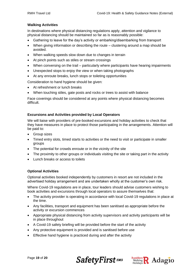### **Walking Activities**

In destinations where physical distancing regulations apply, attention and vigilance to physical distancing should be maintained so far as is reasonably possible:

- Gathering to leave for the day's activity or embarking/disembarking from transport
- When giving information or describing the route clustering around a map should be avoided.
- When walking speeds slow down due to changes in terrain
- At pinch points such as stiles or stream crossings
- When conversing on the trail particularly where participants have hearing impairments
- Unexpected stops to enjoy the view or when taking photographs
- At any enroute breaks, lunch stops or toileting opportunities

Consideration to hand hygiene should be given:

- At refreshment or lunch breaks
- When touching stiles, gate posts and rocks or trees to assist with balance

Face coverings should be considered at any points where physical distancing becomes difficult.

### **Excursions and Activities provided by Local Operators**

We will liaise with providers of pre-booked excursions and holiday activities to check that they have measures in place to protect those participating in the arrangements. Attention will be paid to:

- Group sizes
- Timed entry slots, timed starts to activities or the need to visit or participate in smaller groups
- The potential for crowds enroute or in the vicinity of the site
- The proximity to other groups or individuals visiting the site or taking part in the activity
- Lunch breaks or access to toilets

### **Optional Activities**

Optional activities booked independently by customers in resort are not included in the advertised holiday arrangement and are undertaken wholly at the customer's own risk.

Where Covid-19 regulations are in place, tour leaders should advise customers wishing to book activities and excursions through local operators to assure themselves that:

- The activity provider is operating in accordance with local Covid-19 regulations in place at the time.
- Any facilities, transport and equipment has been sanitised as appropriate before the activity or excursion commences
- Appropriate physical distancing from activity supervisors and activity participants will be in place throughout
- A Covid-19 safety briefing will be provided before the start of the activity
- Any protective equipment is provided and is sanitised before use
- Effective hand hygiene is practiced during and after the activity